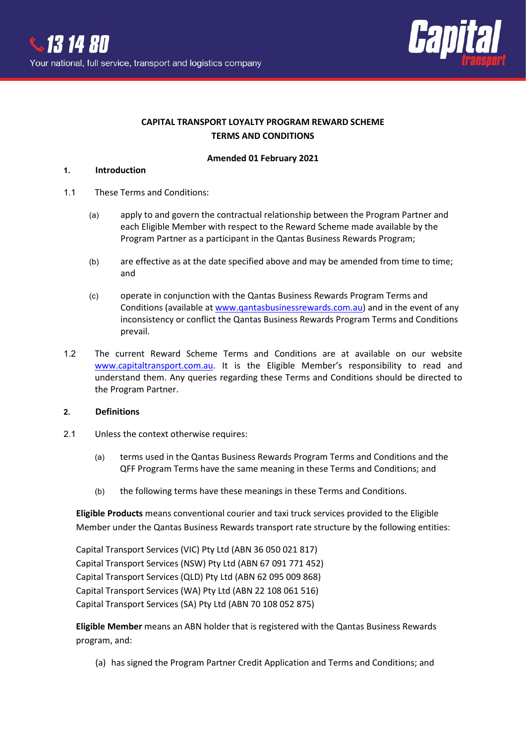

# **CAPITAL TRANSPORT LOYALTY PROGRAM REWARD SCHEME TERMS AND CONDITIONS**

### **Amended 01 February 2021**

### **1. Introduction**

- 1.1 These Terms and Conditions:
	- (a) apply to and govern the contractual relationship between the Program Partner and each Eligible Member with respect to the Reward Scheme made available by the Program Partner as a participant in the Qantas Business Rewards Program;
	- (b) are effective as at the date specified above and may be amended from time to time; and
	- (c) operate in conjunction with the Qantas Business Rewards Program Terms and Conditions (available a[t www.qantasbusinessrewards.com.au\)](http://www.qantasbusinessrewards.com.au/) and in the event of any inconsistency or conflict the Qantas Business Rewards Program Terms and Conditions prevail.
- 1.2 The current Reward Scheme Terms and Conditions are at available on our website [www.capitaltransport.com.au.](http://www.capitaltransport.com.au/) It is the Eligible Member's responsibility to read and understand them. Any queries regarding these Terms and Conditions should be directed to the Program Partner.

### **2. Definitions**

- 2.1 Unless the context otherwise requires:
	- (a) terms used in the Qantas Business Rewards Program Terms and Conditions and the QFF Program Terms have the same meaning in these Terms and Conditions; and
	- (b) the following terms have these meanings in these Terms and Conditions.

**Eligible Products** means conventional courier and taxi truck services provided to the Eligible Member under the Qantas Business Rewards transport rate structure by the following entities:

Capital Transport Services (VIC) Pty Ltd (ABN 36 050 021 817) Capital Transport Services (NSW) Pty Ltd (ABN 67 091 771 452) Capital Transport Services (QLD) Pty Ltd (ABN 62 095 009 868) Capital Transport Services (WA) Pty Ltd (ABN 22 108 061 516) Capital Transport Services (SA) Pty Ltd (ABN 70 108 052 875)

**Eligible Member** means an ABN holder that is registered with the Qantas Business Rewards program, and:

(a) has signed the Program Partner Credit Application and Terms and Conditions; and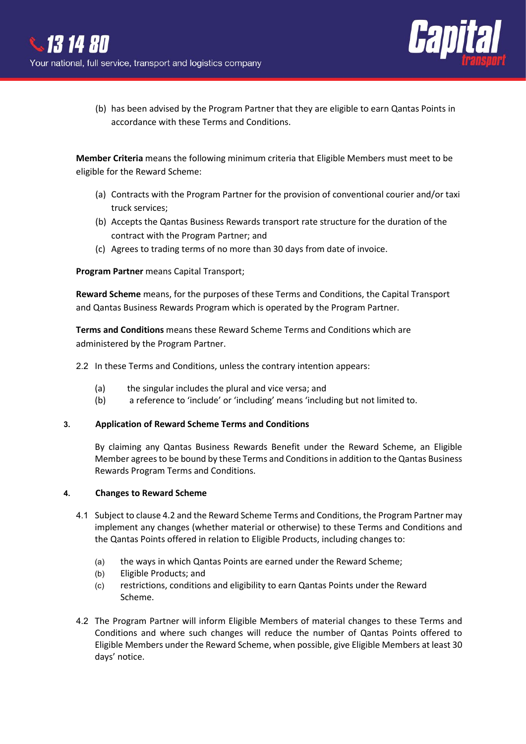

(b) has been advised by the Program Partner that they are eligible to earn Qantas Points in accordance with these Terms and Conditions.

**Member Criteria** means the following minimum criteria that Eligible Members must meet to be eligible for the Reward Scheme:

- (a) Contracts with the Program Partner for the provision of conventional courier and/or taxi truck services;
- (b) Accepts the Qantas Business Rewards transport rate structure for the duration of the contract with the Program Partner; and
- (c) Agrees to trading terms of no more than 30 days from date of invoice.

### **Program Partner** means Capital Transport;

**Reward Scheme** means, for the purposes of these Terms and Conditions, the Capital Transport and Qantas Business Rewards Program which is operated by the Program Partner.

**Terms and Conditions** means these Reward Scheme Terms and Conditions which are administered by the Program Partner.

- 2.2 In these Terms and Conditions, unless the contrary intention appears:
	- (a) the singular includes the plural and vice versa; and
	- (b) a reference to 'include' or 'including' means 'including but not limited to.

### **3. Application of Reward Scheme Terms and Conditions**

By claiming any Qantas Business Rewards Benefit under the Reward Scheme, an Eligible Member agrees to be bound by these Terms and Conditions in addition to the Qantas Business Rewards Program Terms and Conditions.

### **4. Changes to Reward Scheme**

- 4.1 Subject to clause 4.2 and the Reward Scheme Terms and Conditions, the Program Partner may implement any changes (whether material or otherwise) to these Terms and Conditions and the Qantas Points offered in relation to Eligible Products, including changes to:
	- (a) the ways in which Qantas Points are earned under the Reward Scheme;
	- (b) Eligible Products; and
	- (c) restrictions, conditions and eligibility to earn Qantas Points under the Reward Scheme.
- 4.2 The Program Partner will inform Eligible Members of material changes to these Terms and Conditions and where such changes will reduce the number of Qantas Points offered to Eligible Members under the Reward Scheme, when possible, give Eligible Members at least 30 days' notice.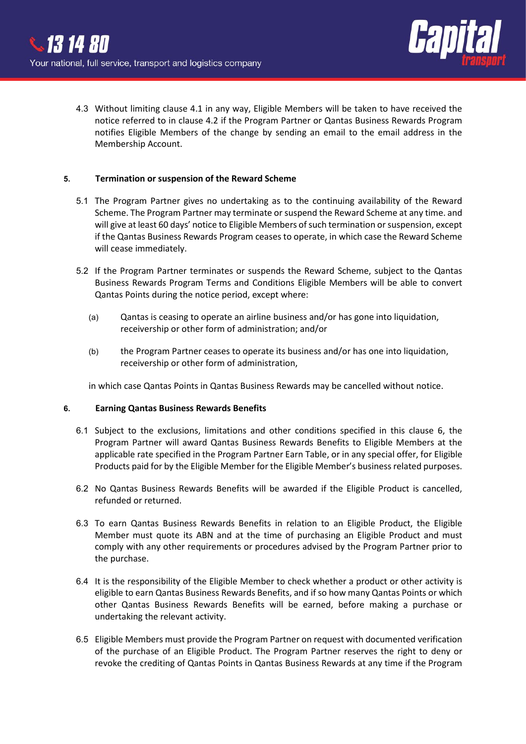

4.3 Without limiting clause 4.1 in any way, Eligible Members will be taken to have received the notice referred to in clause 4.2 if the Program Partner or Qantas Business Rewards Program notifies Eligible Members of the change by sending an email to the email address in the Membership Account.

#### **5. Termination or suspension of the Reward Scheme**

- 5.1 The Program Partner gives no undertaking as to the continuing availability of the Reward Scheme. The Program Partner may terminate or suspend the Reward Scheme at any time. and will give at least 60 days' notice to Eligible Members of such termination or suspension, except if the Qantas Business Rewards Program ceases to operate, in which case the Reward Scheme will cease immediately.
- 5.2 If the Program Partner terminates or suspends the Reward Scheme, subject to the Qantas Business Rewards Program Terms and Conditions Eligible Members will be able to convert Qantas Points during the notice period, except where:
	- (a) Qantas is ceasing to operate an airline business and/or has gone into liquidation, receivership or other form of administration; and/or
	- (b) the Program Partner ceases to operate its business and/or has one into liquidation, receivership or other form of administration,

in which case Qantas Points in Qantas Business Rewards may be cancelled without notice.

#### **6. Earning Qantas Business Rewards Benefits**

- 6.1 Subject to the exclusions, limitations and other conditions specified in this clause 6, the Program Partner will award Qantas Business Rewards Benefits to Eligible Members at the applicable rate specified in the Program Partner Earn Table, or in any special offer, for Eligible Products paid for by the Eligible Member for the Eligible Member's business related purposes.
- 6.2 No Qantas Business Rewards Benefits will be awarded if the Eligible Product is cancelled, refunded or returned.
- 6.3 To earn Qantas Business Rewards Benefits in relation to an Eligible Product, the Eligible Member must quote its ABN and at the time of purchasing an Eligible Product and must comply with any other requirements or procedures advised by the Program Partner prior to the purchase.
- 6.4 It is the responsibility of the Eligible Member to check whether a product or other activity is eligible to earn Qantas Business Rewards Benefits, and if so how many Qantas Points or which other Qantas Business Rewards Benefits will be earned, before making a purchase or undertaking the relevant activity.
- 6.5 Eligible Members must provide the Program Partner on request with documented verification of the purchase of an Eligible Product. The Program Partner reserves the right to deny or revoke the crediting of Qantas Points in Qantas Business Rewards at any time if the Program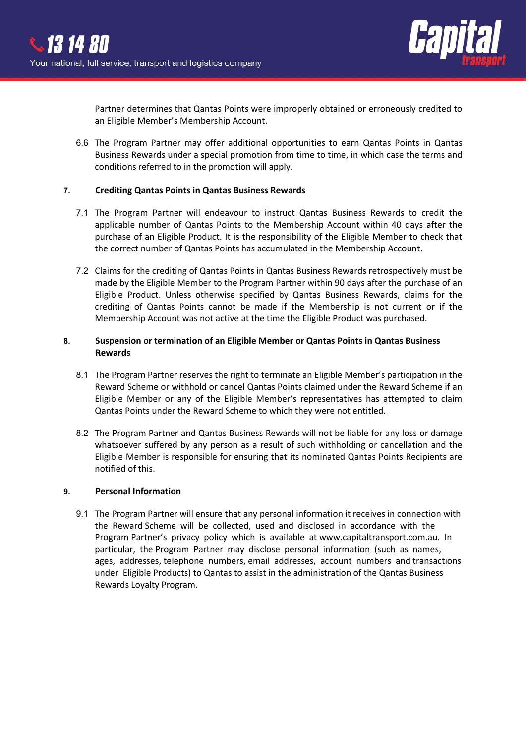

Partner determines that Qantas Points were improperly obtained or erroneously credited to an Eligible Member's Membership Account.

6.6 The Program Partner may offer additional opportunities to earn Qantas Points in Qantas Business Rewards under a special promotion from time to time, in which case the terms and conditions referred to in the promotion will apply.

### **7. Crediting Qantas Points in Qantas Business Rewards**

- 7.1 The Program Partner will endeavour to instruct Qantas Business Rewards to credit the applicable number of Qantas Points to the Membership Account within 40 days after the purchase of an Eligible Product. It is the responsibility of the Eligible Member to check that the correct number of Qantas Points has accumulated in the Membership Account.
- 7.2 Claims for the crediting of Qantas Points in Qantas Business Rewards retrospectively must be made by the Eligible Member to the Program Partner within 90 days after the purchase of an Eligible Product. Unless otherwise specified by Qantas Business Rewards, claims for the crediting of Qantas Points cannot be made if the Membership is not current or if the Membership Account was not active at the time the Eligible Product was purchased.

## **8. Suspension or termination of an Eligible Member or Qantas Points in Qantas Business Rewards**

- 8.1 The Program Partner reserves the right to terminate an Eligible Member's participation in the Reward Scheme or withhold or cancel Qantas Points claimed under the Reward Scheme if an Eligible Member or any of the Eligible Member's representatives has attempted to claim Qantas Points under the Reward Scheme to which they were not entitled.
- 8.2 The Program Partner and Qantas Business Rewards will not be liable for any loss or damage whatsoever suffered by any person as a result of such withholding or cancellation and the Eligible Member is responsible for ensuring that its nominated Qantas Points Recipients are notified of this.

### **9. Personal Information**

9.1 The Program Partner will ensure that any personal information it receives in connection with the Reward Scheme will be collected, used and disclosed in accordance with the Program Partner's privacy policy which is available at www.capitaltransport.com.au. In particular, the Program Partner may disclose personal information (such as names, ages, addresses, telephone numbers, email addresses, account numbers and transactions under Eligible Products) to Qantas to assist in the administration of the Qantas Business Rewards Loyalty Program.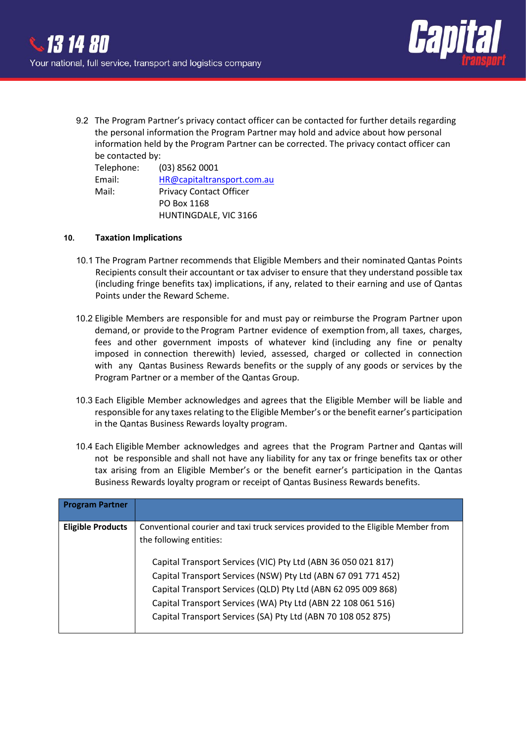

9.2 The Program Partner's privacy contact officer can be contacted for further details regarding the personal information the Program Partner may hold and advice about how personal information held by the Program Partner can be corrected. The privacy contact officer can be contacted by:

| Telephone: | (03) 8562 0001                 |
|------------|--------------------------------|
| Email:     | HR@capitaltransport.com.au     |
| Mail:      | <b>Privacy Contact Officer</b> |
|            | PO Box 1168                    |
|            | HUNTINGDALE, VIC 3166          |

### **10. Taxation Implications**

- 10.1 The Program Partner recommends that Eligible Members and their nominated Qantas Points Recipients consult their accountant or tax adviser to ensure that they understand possible tax (including fringe benefits tax) implications, if any, related to their earning and use of Qantas Points under the Reward Scheme.
- 10.2 Eligible Members are responsible for and must pay or reimburse the Program Partner upon demand, or provide to the Program Partner evidence of exemption from, all taxes, charges, fees and other government imposts of whatever kind (including any fine or penalty imposed in connection therewith) levied, assessed, charged or collected in connection with any Qantas Business Rewards benefits or the supply of any goods or services by the Program Partner or a member of the Qantas Group.
- 10.3 Each Eligible Member acknowledges and agrees that the Eligible Member will be liable and responsible for any taxes relating to the Eligible Member's or the benefit earner's participation in the Qantas Business Rewards loyalty program.
- 10.4 Each Eligible Member acknowledges and agrees that the Program Partner and Qantas will not be responsible and shall not have any liability for any tax or fringe benefits tax or other tax arising from an Eligible Member's or the benefit earner's participation in the Qantas Business Rewards loyalty program or receipt of Qantas Business Rewards benefits.

| <b>Program Partner</b>   |                                                                                                                                                                                                                                                                                                                                                                                                                                                 |
|--------------------------|-------------------------------------------------------------------------------------------------------------------------------------------------------------------------------------------------------------------------------------------------------------------------------------------------------------------------------------------------------------------------------------------------------------------------------------------------|
| <b>Eligible Products</b> | Conventional courier and taxi truck services provided to the Eligible Member from<br>the following entities:<br>Capital Transport Services (VIC) Pty Ltd (ABN 36 050 021 817)<br>Capital Transport Services (NSW) Pty Ltd (ABN 67 091 771 452)<br>Capital Transport Services (QLD) Pty Ltd (ABN 62 095 009 868)<br>Capital Transport Services (WA) Pty Ltd (ABN 22 108 061 516)<br>Capital Transport Services (SA) Pty Ltd (ABN 70 108 052 875) |